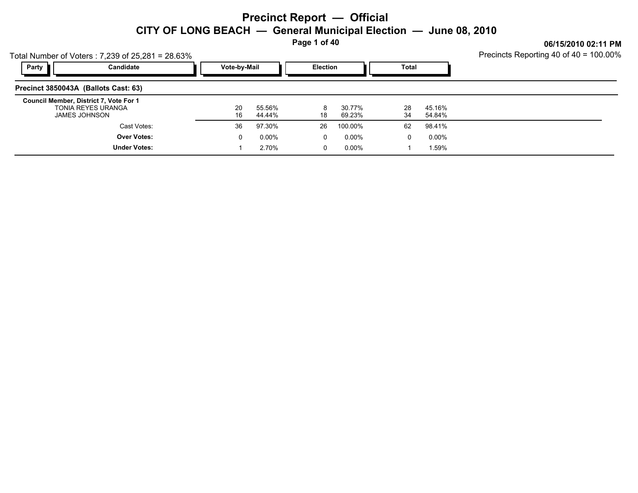**Page 1 of 40**

|                                      | Total Number of Voters: 7,239 of 25,281 = 28.63%                                     | Precincts Reporting 40 of 40 = 100.00% |                   |                 |                  |          |                  |  |
|--------------------------------------|--------------------------------------------------------------------------------------|----------------------------------------|-------------------|-----------------|------------------|----------|------------------|--|
| Party                                | Candidate                                                                            | Vote-by-Mail                           |                   | <b>Election</b> |                  | Total    |                  |  |
| Precinct 3850043A (Ballots Cast: 63) |                                                                                      |                                        |                   |                 |                  |          |                  |  |
|                                      | Council Member, District 7, Vote For 1<br><b>TONIA REYES URANGA</b><br>JAMES JOHNSON | 20<br>16                               | 55.56%<br>44.44%  | 18              | 30.77%<br>69.23% | 28<br>34 | 45.16%<br>54.84% |  |
|                                      | Cast Votes:                                                                          | 36                                     | 97.30%            | 26              | 100.00%          | 62       | 98.41%           |  |
|                                      | <b>Over Votes:</b><br><b>Under Votes:</b>                                            | 0                                      | $0.00\%$<br>2.70% | 0<br>0          | 0.00%<br>0.00%   | 0        | 0.00%<br>1.59%   |  |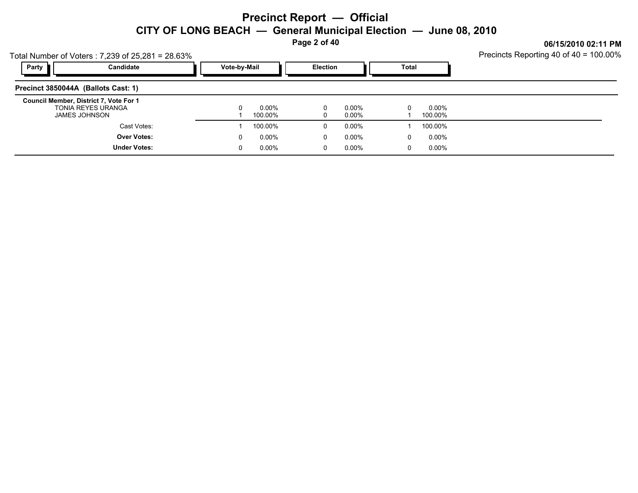**Page 2 of 40**

| Total Number of Voters: 7,239 of 25,281 = 28.63%                              | Precincts Reporting 40 of 40 = 100.00% |                      |                 |                   |               |                   |  |
|-------------------------------------------------------------------------------|----------------------------------------|----------------------|-----------------|-------------------|---------------|-------------------|--|
| Party<br>Candidate                                                            | Vote-by-Mail                           |                      | <b>Election</b> |                   | Total         |                   |  |
| Precinct 3850044A (Ballots Cast: 1)                                           |                                        |                      |                 |                   |               |                   |  |
| Council Member, District 7, Vote For 1<br>TONIA REYES URANGA<br>JAMES JOHNSON | 0                                      | $0.00\%$<br>100.00%  |                 | 0.00%<br>0.00%    | 0             | 0.00%<br>100.00%  |  |
| Cast Votes:                                                                   |                                        | 100.00%              | 0               | 0.00%             |               | 100.00%           |  |
| <b>Over Votes:</b><br><b>Under Votes:</b>                                     | 0<br>0                                 | $0.00\%$<br>$0.00\%$ | 0<br>0          | 0.00%<br>$0.00\%$ | 0<br>$\Omega$ | 0.00%<br>$0.00\%$ |  |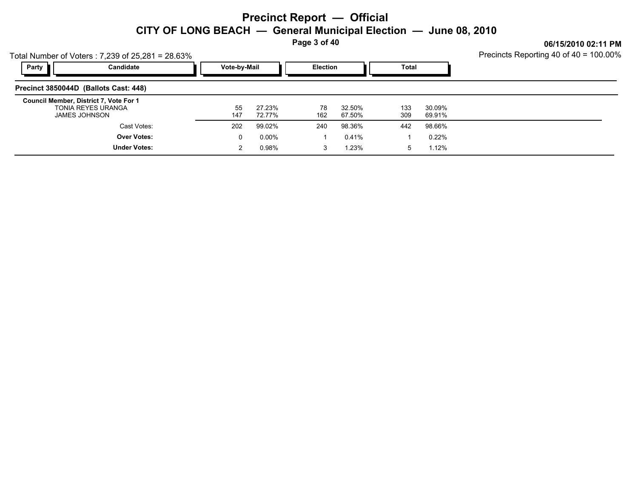**Page 3 of 40**

**06/15/2010 02:11 PM**

|       | Total Number of Voters: 7,239 of 25,281 = 28.63% |              |                 |       |
|-------|--------------------------------------------------|--------------|-----------------|-------|
| Party | Candidate                                        | Vote-by-Mail | <b>Election</b> | Total |
|       | Precinct 3850044D (Ballots Cast: 448)            |              |                 |       |
|       | Council Mombor Dictrict 7 Vote For 1             |              |                 |       |

| Council Member, District 7, Vote For 1<br>TONIA REYES URANGA<br><b>JAMES JOHNSON</b> | 55<br>147 | 27.23%<br>72.77% | 78<br>162 | 32.50%<br>67.50% | 133<br>309 | 30.09%<br>69.91% |  |
|--------------------------------------------------------------------------------------|-----------|------------------|-----------|------------------|------------|------------------|--|
| Cast Votes:                                                                          | 202       | 99.02%           | 240       | 98.36%           | 442        | 98.66%           |  |
| <b>Over Votes:</b>                                                                   |           | $0.00\%$         |           | 0.41%            |            | 0.22%            |  |
| <b>Under Votes:</b>                                                                  |           | 0.98%            |           | 1.23%            |            | 1.12%            |  |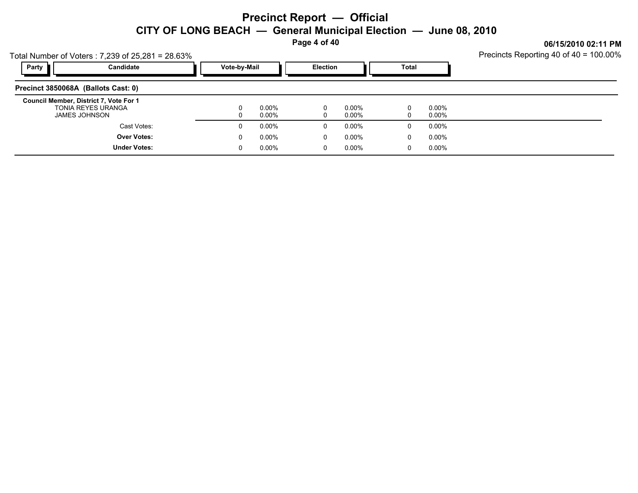**Page 4 of 40**

**06/15/2010 02:11 PM** Procincts Poperting  $40 \text{ of } 40 - 100.000$ 

|                                     | Total Number of Voters: 7,239 of 25,281 = 28.63%                              | Precincts Reporting 40 of 40 = 100.00% |                      |                 |                |               |                   |  |
|-------------------------------------|-------------------------------------------------------------------------------|----------------------------------------|----------------------|-----------------|----------------|---------------|-------------------|--|
| Party                               | Candidate                                                                     | Vote-by-Mail                           |                      | <b>Election</b> |                | <b>Total</b>  |                   |  |
| Precinct 3850068A (Ballots Cast: 0) |                                                                               |                                        |                      |                 |                |               |                   |  |
|                                     | Council Member, District 7, Vote For 1<br>TONIA REYES URANGA<br>JAMES JOHNSON | 0<br>0                                 | $0.00\%$<br>$0.00\%$ |                 | 0.00%<br>0.00% | 0             | 0.00%<br>$0.00\%$ |  |
|                                     | Cast Votes:                                                                   | 0                                      | $0.00\%$             | $\Omega$        | $0.00\%$       | 0             | $0.00\%$          |  |
|                                     | <b>Over Votes:</b><br><b>Under Votes:</b>                                     | 0<br>0                                 | $0.00\%$<br>$0.00\%$ | $\Omega$<br>0   | 0.00%<br>0.00% | 0<br>$\Omega$ | $0.00\%$<br>0.00% |  |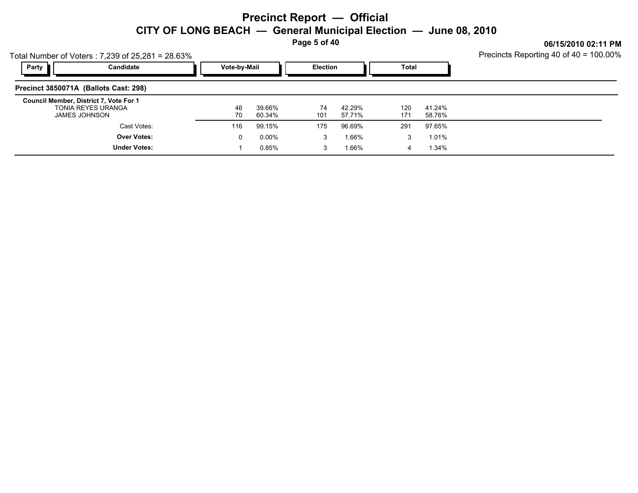**Page 5 of 40**

|                                                         | Total Number of Voters: 7,239 of 25,281 = 28.63% | Precincts Reporting 40 of 40 = 100.00% |                      |                 |                  |              |                  |  |
|---------------------------------------------------------|--------------------------------------------------|----------------------------------------|----------------------|-----------------|------------------|--------------|------------------|--|
| Party                                                   | Candidate                                        | Vote-by-Mail                           |                      | <b>Election</b> |                  | <b>Total</b> |                  |  |
| Precinct 3850071A (Ballots Cast: 298)                   |                                                  |                                        |                      |                 |                  |              |                  |  |
| Council Member, District 7, Vote For 1<br>JAMES JOHNSON | <b>TONIA REYES URANGA</b>                        | 46<br>70                               | 39.66%<br>60.34%     | 74<br>101       | 42.29%<br>57.71% | 120<br>171   | 41.24%<br>58.76% |  |
|                                                         | Cast Votes:                                      | 116                                    | 99.15%               | 175             | 96.69%           | 291          | 97.65%           |  |
|                                                         | <b>Over Votes:</b><br><b>Under Votes:</b>        | 0                                      | $0.00\%$<br>$0.85\%$ | 3<br>3          | 1.66%<br>1.66%   | 3<br>4       | 1.01%<br>1.34%   |  |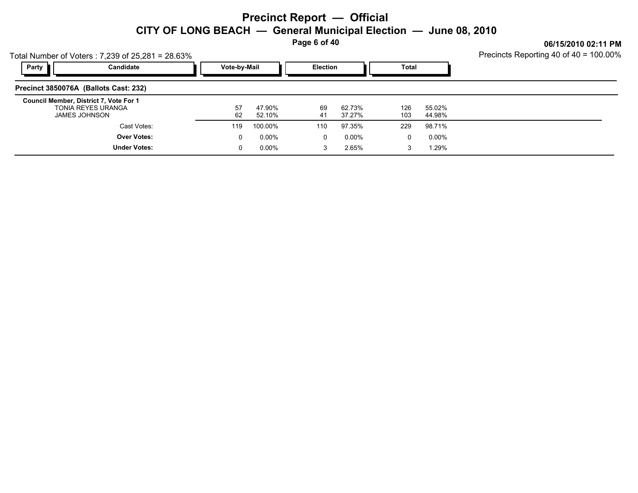**Page 6 of 40**

|                                        | Total Number of Voters: 7,239 of 25,281 = 28.63% | Precincts Reporting 40 of 40 = 100.00% |                  |          |                  |            |                  |  |
|----------------------------------------|--------------------------------------------------|----------------------------------------|------------------|----------|------------------|------------|------------------|--|
| Party                                  | Candidate                                        |                                        | Vote-by-Mail     |          | <b>Election</b>  |            | Total            |  |
| Precinct 3850076A (Ballots Cast: 232)  |                                                  |                                        |                  |          |                  |            |                  |  |
| Council Member, District 7, Vote For 1 | TONIA REYES URANGA<br>JAMES JOHNSON              | 57<br>62                               | 47.90%<br>52.10% | 69<br>41 | 62.73%<br>37.27% | 126<br>103 | 55.02%<br>44.98% |  |
|                                        | Cast Votes:                                      | 119                                    | 100.00%          | 110      | 97.35%           | 229        | 98.71%           |  |
|                                        | <b>Over Votes:</b>                               | 0                                      | $0.00\%$         | 0        | 0.00%            | 0          | 0.00%            |  |
|                                        | <b>Under Votes:</b>                              | 0                                      | $0.00\%$         | 3        | 2.65%            | 3          | 1.29%            |  |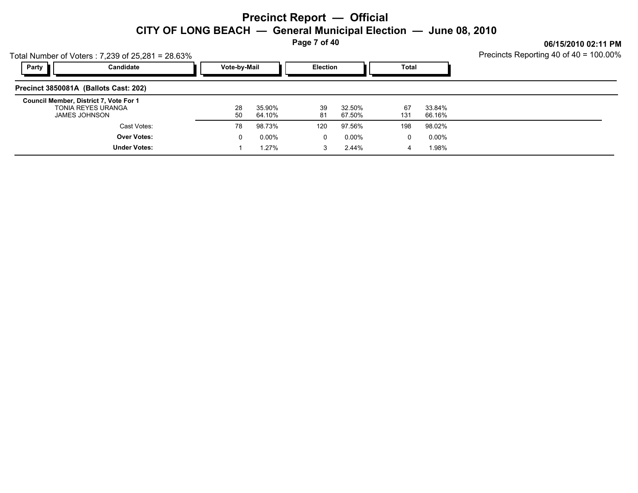**Page 7 of 40**

**06/15/2010 02:11 PM**

|       | Fotal Number of Voters: 7,239 of 25,281 = 28.63%                              | Precincts Reporting 40 of 40 = 100.00% |          |                  |                 |                   |           |                   |  |
|-------|-------------------------------------------------------------------------------|----------------------------------------|----------|------------------|-----------------|-------------------|-----------|-------------------|--|
| Party | Candidate                                                                     | Vote-by-Mail                           |          |                  | <b>Election</b> |                   | Total     |                   |  |
|       | Precinct 3850081A (Ballots Cast: 202)                                         |                                        |          |                  |                 |                   |           |                   |  |
|       | Council Member, District 7, Vote For 1<br>TONIA REYES URANGA<br>JAMES JOHNSON |                                        | 28<br>50 | 35.90%<br>64.10% | 39<br>81        | 32.50%<br>67.50%  | 67<br>131 | 33.84%<br>66.16%  |  |
|       | Cast Votes:                                                                   |                                        | 78       | 98.73%           | 120             | 97.56%            | 198       | 98.02%            |  |
|       | <b>Over Votes:</b><br><b>Under Votes:</b>                                     |                                        | 0        | 0.00%<br>$.27\%$ | 0<br>3          | $0.00\%$<br>2.44% | 0<br>4    | $0.00\%$<br>1.98% |  |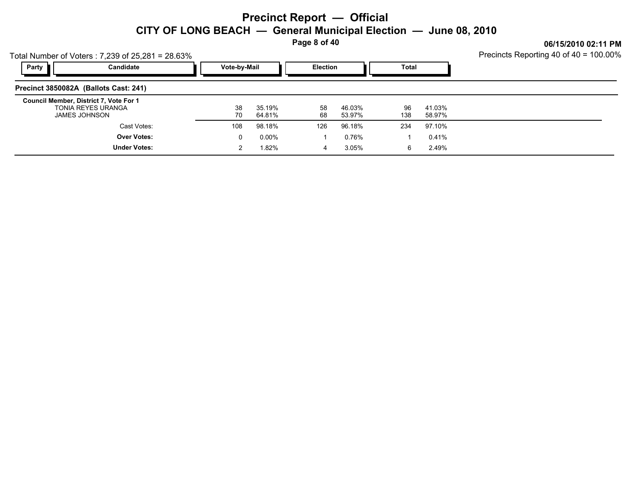**Page 8 of 40**

| Fotal Number of Voters: 7,239 of 25,281 = 28.63%                                     | Precincts Reporting 40 of 40 = 100.00% |                  |                 |                  |           |                  |  |
|--------------------------------------------------------------------------------------|----------------------------------------|------------------|-----------------|------------------|-----------|------------------|--|
| Party<br>Candidate                                                                   | Vote-by-Mail                           |                  | <b>Election</b> |                  | Total     |                  |  |
| Precinct 3850082A (Ballots Cast: 241)                                                |                                        |                  |                 |                  |           |                  |  |
| Council Member, District 7, Vote For 1<br>TONIA REYES URANGA<br><b>JAMES JOHNSON</b> | 38<br>70                               | 35.19%<br>64.81% | 58<br>68        | 46.03%<br>53.97% | 96<br>138 | 41.03%<br>58.97% |  |
| Cast Votes:                                                                          | 108                                    | 98.18%           | 126             | 96.18%           | 234       | 97.10%           |  |
| <b>Over Votes:</b>                                                                   | 0                                      | 0.00%            |                 | 0.76%            |           | 0.41%            |  |
| <b>Under Votes:</b>                                                                  |                                        | l.82%            | 4               | 3.05%            | 6         | 2.49%            |  |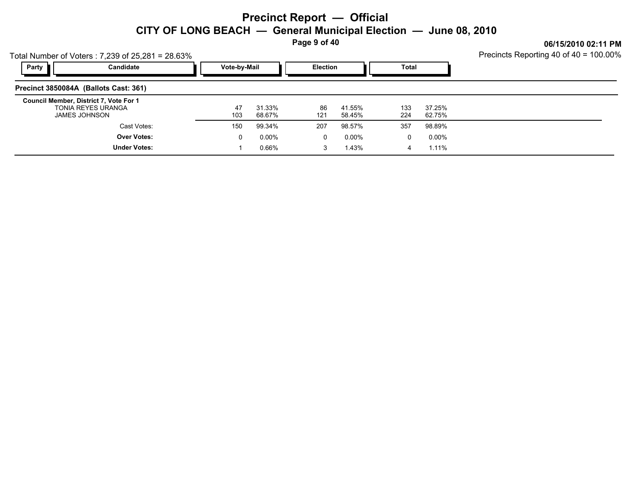**Page 9 of 40**

**06/15/2010 02:11 PM**

| Party | otal Number of Voters: 7,239 of 25,281 = 28.63%<br>Candidate                         | Vote-by-Mail |                  | <b>Election</b> |                   | Total      |                  | Precincts Reporting 40 of 40 = 100.00% |
|-------|--------------------------------------------------------------------------------------|--------------|------------------|-----------------|-------------------|------------|------------------|----------------------------------------|
|       | Precinct 3850084A (Ballots Cast: 361)                                                |              |                  |                 |                   |            |                  |                                        |
|       | Council Member, District 7, Vote For 1<br>TONIA REYES URANGA<br><b>JAMES JOHNSON</b> | 47<br>103    | 31.33%<br>68.67% | 86<br>121       | 41.55%<br>58.45%  | 133<br>224 | 37.25%<br>62.75% |                                        |
|       | Cast Votes:                                                                          | 150          | 99.34%           | 207             | 98.57%            | 357        | 98.89%           |                                        |
|       | <b>Over Votes:</b><br><b>Under Votes:</b>                                            | 0            | 0.00%<br>0.66%   | 0<br>3          | $0.00\%$<br>1.43% | 0<br>4     | 0.00%<br>1.11%   |                                        |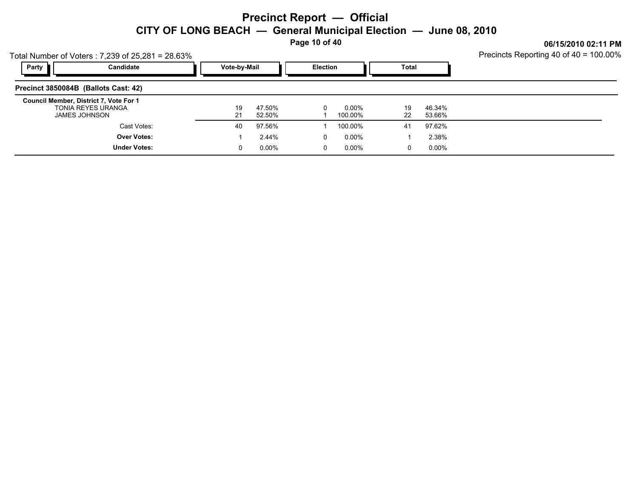**Page 10 of 40**

**06/15/2010 02:11 PM**

| Total Number of Voters: 7,239 of 25,281 = 28.63% |  |
|--------------------------------------------------|--|
|                                                  |  |

| Candidate<br>Party                                                                          | Vote-by-Mail |                  | <b>Election</b> |                  | <b>Total</b> |                  |  |
|---------------------------------------------------------------------------------------------|--------------|------------------|-----------------|------------------|--------------|------------------|--|
| Precinct 3850084B (Ballots Cast: 42)                                                        |              |                  |                 |                  |              |                  |  |
| Council Member, District 7, Vote For 1<br><b>TONIA REYES URANGA</b><br><b>JAMES JOHNSON</b> | 19<br>21     | 47.50%<br>52.50% | U               | 0.00%<br>100.00% | 19<br>22     | 46.34%<br>53.66% |  |
| Cast Votes:                                                                                 | 40           | 97.56%           |                 | 100.00%          | 41           | 97.62%           |  |
| <b>Over Votes:</b>                                                                          |              | 2.44%            | 0               | 0.00%            |              | 2.38%            |  |
| <b>Under Votes:</b>                                                                         |              | $0.00\%$         | 0               | $0.00\%$         | 0            | $0.00\%$         |  |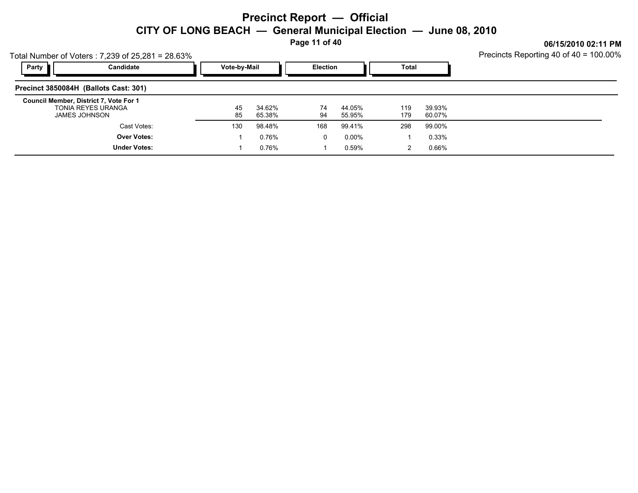**Page 11 of 40**

**06/15/2010 02:11 PM**

| Total Number of Voters: 7,239 of 25,281 = 28.63% |  |
|--------------------------------------------------|--|
|                                                  |  |

| Candidate<br>Party                                                            | Vote-by-Mail |                  |          | Election         |            |                  |  |
|-------------------------------------------------------------------------------|--------------|------------------|----------|------------------|------------|------------------|--|
| Precinct 3850084H (Ballots Cast: 301)                                         |              |                  |          |                  |            |                  |  |
| Council Member, District 7, Vote For 1<br>TONIA REYES URANGA<br>JAMES JOHNSON | 45<br>85     | 34.62%<br>65.38% | 74<br>94 | 44.05%<br>55.95% | 119<br>179 | 39.93%<br>60.07% |  |
| Cast Votes:                                                                   | 130          | 98.48%           | 168      | 99.41%           | 298        | 99.00%           |  |
| <b>Over Votes:</b>                                                            |              | 0.76%            | 0        | 0.00%            |            | 0.33%            |  |
| <b>Under Votes:</b>                                                           |              | 0.76%            |          | 0.59%            | 2          | 0.66%            |  |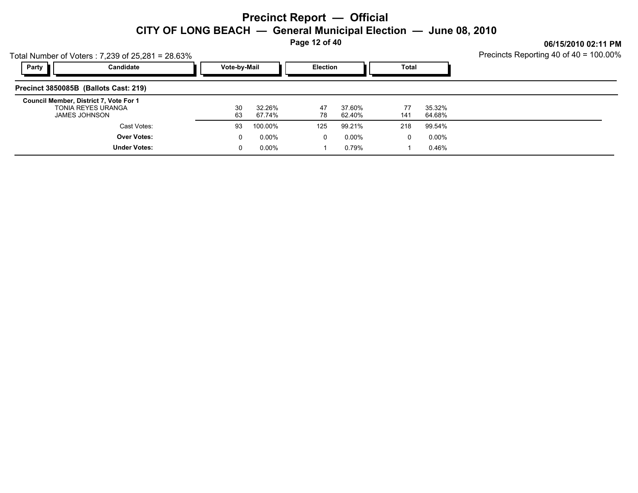**Page 12 of 40**

|                                        | Total Number of Voters: 7,239 of 25,281 = 28.63% | Precincts Reporting 40 of 40 = 100.00% |                  |                 |                  |           |                  |  |
|----------------------------------------|--------------------------------------------------|----------------------------------------|------------------|-----------------|------------------|-----------|------------------|--|
| Party                                  | Candidate                                        | Vote-by-Mail                           |                  | <b>Election</b> |                  | Total     |                  |  |
| Precinct 3850085B (Ballots Cast: 219)  |                                                  |                                        |                  |                 |                  |           |                  |  |
| Council Member, District 7, Vote For 1 | <b>TONIA REYES URANGA</b><br>JAMES JOHNSON       | 30<br>63                               | 32.26%<br>67.74% | 47<br>78        | 37.60%<br>62.40% | 77<br>141 | 35.32%<br>64.68% |  |
|                                        | Cast Votes:                                      | 93                                     | 100.00%          | 125             | 99.21%           | 218       | 99.54%           |  |
|                                        | <b>Over Votes:</b>                               | 0                                      | $0.00\%$         | $\Omega$        | 0.00%            | 0         | $0.00\%$         |  |
|                                        | <b>Under Votes:</b>                              | 0                                      | $0.00\%$         |                 | 0.79%            |           | 0.46%            |  |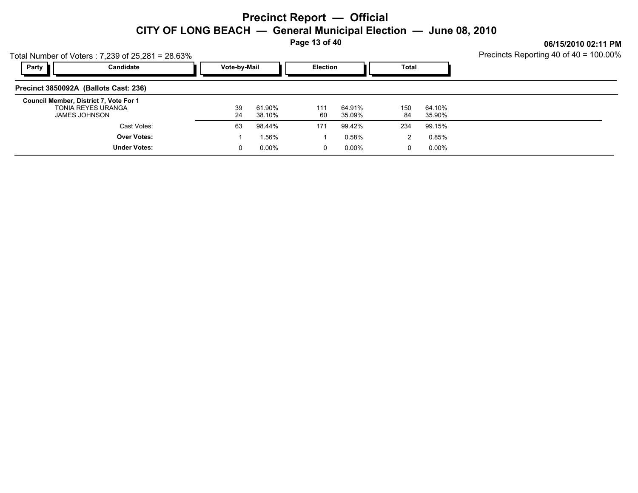**Page 13 of 40**

**06/15/2010 02:11 PM**

| Total Number of Voters: 7,239 of 25,281 = 28.63% |  |
|--------------------------------------------------|--|
|                                                  |  |

| Party<br>Candidate                                                            | Vote-by-Mail |                  | <b>Election</b> |                  | Total     |                  |  |
|-------------------------------------------------------------------------------|--------------|------------------|-----------------|------------------|-----------|------------------|--|
| Precinct 3850092A (Ballots Cast: 236)                                         |              |                  |                 |                  |           |                  |  |
| Council Member, District 7, Vote For 1<br>TONIA REYES URANGA<br>JAMES JOHNSON | 39<br>24     | 61.90%<br>38.10% | 111<br>60       | 64.91%<br>35.09% | 150<br>84 | 64.10%<br>35.90% |  |
| Cast Votes:                                                                   | 63           | 98.44%           | 171             | 99.42%           | 234       | 99.15%           |  |
| <b>Over Votes:</b>                                                            |              | -56%.            |                 | 0.58%            |           | 0.85%            |  |
| <b>Under Votes:</b>                                                           |              | $0.00\%$         | 0               | 0.00%            | 0         | $0.00\%$         |  |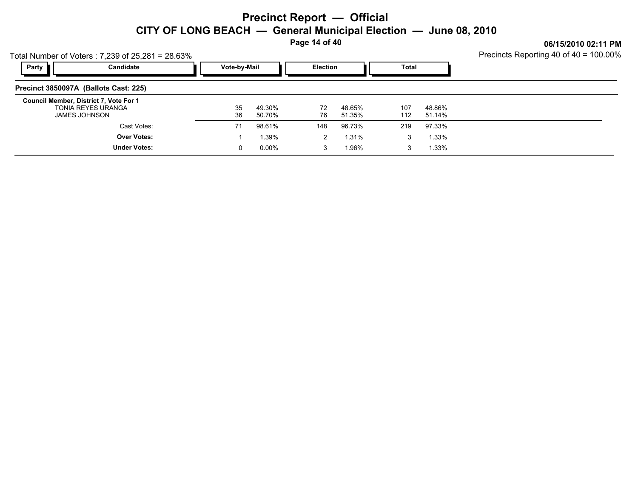**Page 14 of 40**

**06/15/2010 02:11 PM**

| Total Number of Voters: 7,239 of 25,281 = 28.63% |  |
|--------------------------------------------------|--|
|                                                  |  |

| Party                                                                         | Candidate           | Vote-by-Mail                 | Election |                  | <b>Total</b> |                  |  |
|-------------------------------------------------------------------------------|---------------------|------------------------------|----------|------------------|--------------|------------------|--|
| Precinct 3850097A (Ballots Cast: 225)                                         |                     |                              |          |                  |              |                  |  |
| Council Member, District 7, Vote For 1<br>TONIA REYES URANGA<br>JAMES JOHNSON |                     | 35<br>49.30%<br>36<br>50.70% | 72<br>76 | 48.65%<br>51.35% | 107<br>112   | 48.86%<br>51.14% |  |
|                                                                               | Cast Votes:         | 71<br>98.61%                 | 148      | 96.73%           | 219          | 97.33%           |  |
|                                                                               | <b>Over Votes:</b>  | 1.39%                        | 2        | 1.31%            | 3            | 1.33%            |  |
|                                                                               | <b>Under Votes:</b> | $0.00\%$<br>0                | 3        | 1.96%            | 3            | 1.33%            |  |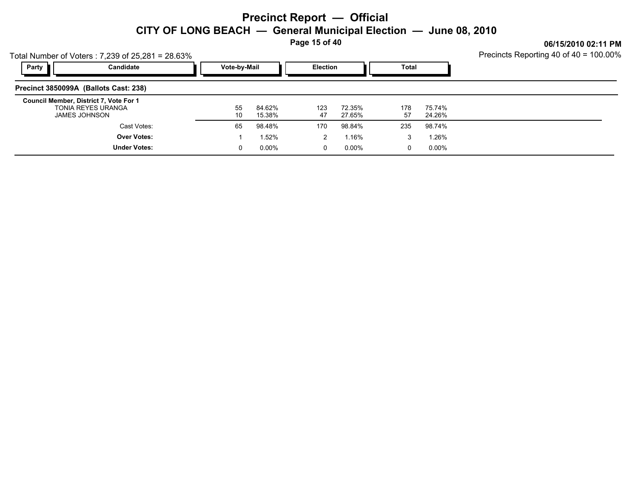**Page 15 of 40**

**06/15/2010 02:11 PM**

Total Number of Voters : 7,239 of 25,281 = 28.63%

| Party<br>Candidate                                                            | Vote-by-Mail |                  | <b>Election</b> |                  | Total     |                  |  |
|-------------------------------------------------------------------------------|--------------|------------------|-----------------|------------------|-----------|------------------|--|
| Precinct 3850099A (Ballots Cast: 238)                                         |              |                  |                 |                  |           |                  |  |
| Council Member, District 7, Vote For 1<br>TONIA REYES URANGA<br>JAMES JOHNSON | 55<br>10     | 84.62%<br>15.38% | 123<br>47       | 72.35%<br>27.65% | 178<br>57 | 75.74%<br>24.26% |  |
| Cast Votes:                                                                   | 65           | 98.48%           | 170             | 98.84%           | 235       | 98.74%           |  |
| <b>Over Votes:</b>                                                            |              | 1.52%            | 2               | 1.16%            | 3         | 1.26%            |  |
| <b>Under Votes:</b>                                                           |              | $0.00\%$         | 0               | 0.00%            | 0         | $0.00\%$         |  |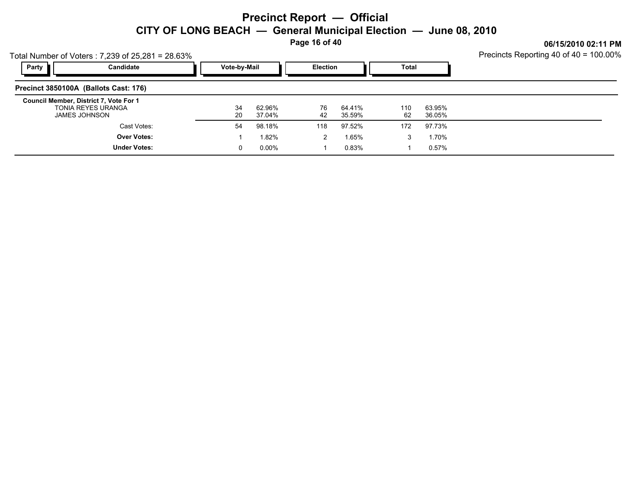**Page 16 of 40**

**06/15/2010 02:11 PM**

Total Number of Voters : 7,239 of 25,281 = 28.63%

| Party<br>Candidate                                                            | Vote-by-Mail |                  | <b>Election</b> |                  | Total     |                  |  |
|-------------------------------------------------------------------------------|--------------|------------------|-----------------|------------------|-----------|------------------|--|
| Precinct 3850100A (Ballots Cast: 176)                                         |              |                  |                 |                  |           |                  |  |
| Council Member, District 7, Vote For 1<br>TONIA REYES URANGA<br>JAMES JOHNSON | -34<br>20    | 62.96%<br>37.04% | 76<br>42        | 64.41%<br>35.59% | 110<br>62 | 63.95%<br>36.05% |  |
| Cast Votes:                                                                   | 54           | 98.18%           | 118             | 97.52%           | 172       | 97.73%           |  |
| <b>Over Votes:</b>                                                            |              | 1.82%            | 2               | 1.65%            |           | 1.70%            |  |
| <b>Under Votes:</b>                                                           |              | $0.00\%$         |                 | 0.83%            |           | 0.57%            |  |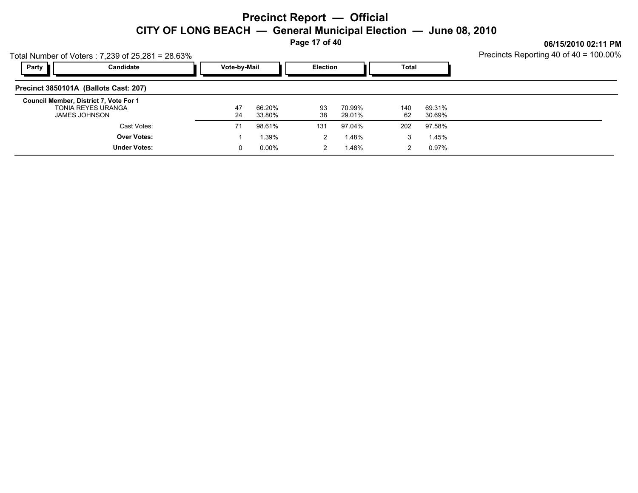**Page 17 of 40**

| Party<br>Candidate<br>Vote-by-Mail<br>Total<br><b>Election</b>                                                                                                                        | Precincts Reporting 40 of 40 = 100.00% |
|---------------------------------------------------------------------------------------------------------------------------------------------------------------------------------------|----------------------------------------|
|                                                                                                                                                                                       |                                        |
| Precinct 3850101A (Ballots Cast: 207)                                                                                                                                                 |                                        |
| Council Member, District 7, Vote For 1<br><b>TONIA REYES URANGA</b><br>66.20%<br>93<br>69.31%<br>47<br>70.99%<br>140<br>62<br>JAMES JOHNSON<br>38<br>29.01%<br>30.69%<br>24<br>33.80% |                                        |
| 98.61%<br>97.58%<br>Cast Votes:<br>97.04%<br>202<br>71<br>131                                                                                                                         |                                        |
| <b>Over Votes:</b><br>1.39%<br>1.48%<br>1.45%<br>2<br>3                                                                                                                               |                                        |
| <b>Under Votes:</b><br>1.48%<br>0.97%<br>$0.00\%$<br>2<br>0<br>2                                                                                                                      |                                        |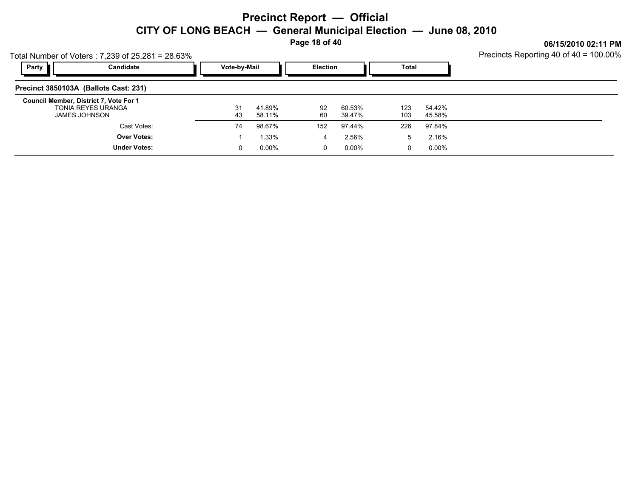**Page 18 of 40**

**06/15/2010 02:11 PM**

| Total Number of Voters: 7,239 of 25,281 = 28.63% |  |
|--------------------------------------------------|--|
|                                                  |  |

| Party<br>Candidate                                                                   | Vote-by-Mail |                  | <b>Election</b> |                  | Total      |                  |  |
|--------------------------------------------------------------------------------------|--------------|------------------|-----------------|------------------|------------|------------------|--|
| Precinct 3850103A (Ballots Cast: 231)                                                |              |                  |                 |                  |            |                  |  |
| Council Member, District 7, Vote For 1<br>TONIA REYES URANGA<br><b>JAMES JOHNSON</b> | 31<br>43     | 41.89%<br>58.11% | 92<br>60        | 60.53%<br>39.47% | 123<br>103 | 54.42%<br>45.58% |  |
| Cast Votes:                                                                          | 74           | 98.67%           | 152             | 97.44%           | 226        | 97.84%           |  |
| <b>Over Votes:</b>                                                                   |              | 1.33%            | 4               | 2.56%            | 5          | 2.16%            |  |
| <b>Under Votes:</b>                                                                  | 0            | $0.00\%$         | 0               | 0.00%            | 0          | 0.00%            |  |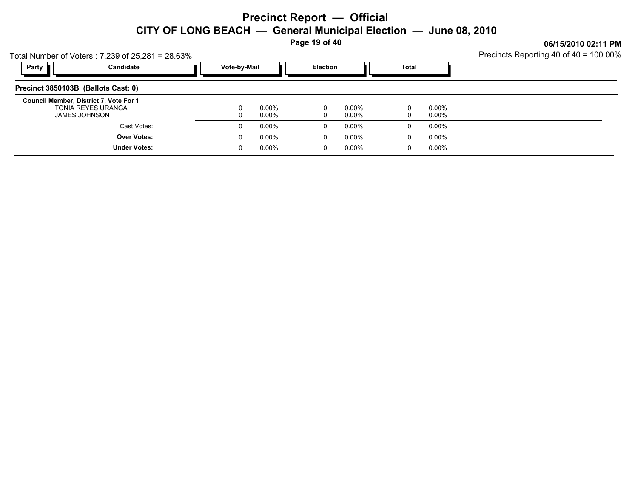**Page 19 of 40**

**06/15/2010 02:11 PM**

| Total Number of Voters: 7,239 of 25,281 = 28.63% |  |
|--------------------------------------------------|--|
|                                                  |  |

| Candidate<br>Party                                                            | Vote-by-Mail           | <b>Election</b>        | Total                  |  |
|-------------------------------------------------------------------------------|------------------------|------------------------|------------------------|--|
| Precinct 3850103B (Ballots Cast: 0)                                           |                        |                        |                        |  |
| Council Member, District 7, Vote For 1<br>TONIA REYES URANGA<br>JAMES JOHNSON | $0.00\%$<br>0<br>0.00% | $0.00\%$<br>Ü<br>0.00% | $0.00\%$<br>0<br>0.00% |  |
| Cast Votes:                                                                   | $0.00\%$<br>0          | $0.00\%$<br>υ          | $0.00\%$<br>0          |  |
| <b>Over Votes:</b>                                                            | $0.00\%$<br>0          | $0.00\%$<br>U          | $0.00\%$<br>0          |  |
| <b>Under Votes:</b>                                                           | $0.00\%$<br>0          | 0.00%<br>U             | $0.00\%$<br>0          |  |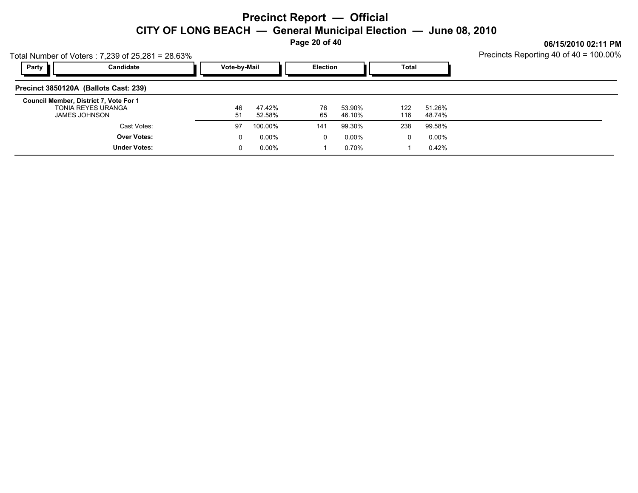**Page 20 of 40**

|       | Total Number of Voters: 7,239 of 25,281 = 28.63%                                     | 0.97197201004.11100<br>Precincts Reporting 40 of 40 = 100.00% |                  |                 |                  |            |                  |  |
|-------|--------------------------------------------------------------------------------------|---------------------------------------------------------------|------------------|-----------------|------------------|------------|------------------|--|
| Party | Candidate                                                                            | Vote-by-Mail                                                  |                  | <b>Election</b> |                  | Total      |                  |  |
|       | Precinct 3850120A (Ballots Cast: 239)                                                |                                                               |                  |                 |                  |            |                  |  |
|       | Council Member, District 7, Vote For 1<br><b>TONIA REYES URANGA</b><br>JAMES JOHNSON | 46<br>51                                                      | 47.42%<br>52.58% | 76<br>65        | 53.90%<br>46.10% | 122<br>116 | 51.26%<br>48.74% |  |
|       | Cast Votes:                                                                          | 97                                                            | 100.00%          | 141             | 99.30%           | 238        | 99.58%           |  |
|       | <b>Over Votes:</b>                                                                   | 0                                                             | $0.00\%$         | 0               | 0.00%            | 0          | 0.00%            |  |
|       | <b>Under Votes:</b>                                                                  | 0                                                             | $0.00\%$         |                 | 0.70%            |            | 0.42%            |  |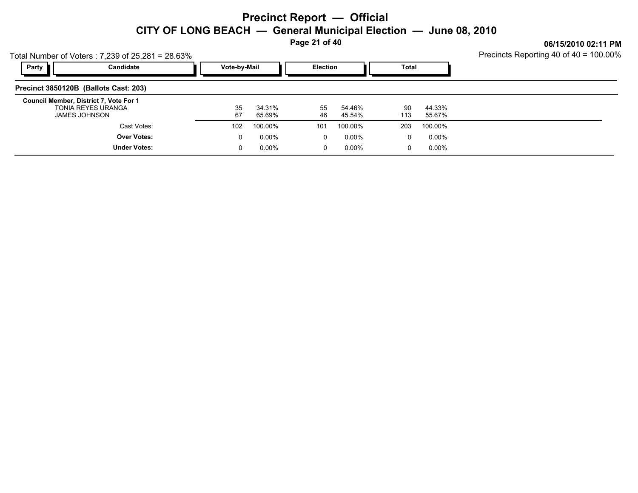**Page 21 of 40**

**06/15/2010 02:11 PM**

| Total Number of Voters: 7,239 of 25,281 = 28.63% |  |
|--------------------------------------------------|--|
|                                                  |  |

| Party<br>Candidate                                                                   | Vote-by-Mail |                  | Election |                  | <b>Total</b> |                  |  |
|--------------------------------------------------------------------------------------|--------------|------------------|----------|------------------|--------------|------------------|--|
| Precinct 3850120B (Ballots Cast: 203)                                                |              |                  |          |                  |              |                  |  |
| Council Member, District 7, Vote For 1<br>TONIA REYES URANGA<br><b>JAMES JOHNSON</b> | 35<br>67     | 34.31%<br>65.69% | 55<br>46 | 54.46%<br>45.54% | 90<br>113    | 44.33%<br>55.67% |  |
| Cast Votes:                                                                          | 102          | 100.00%          | 101      | 100.00%          | 203          | 100.00%          |  |
| <b>Over Votes:</b>                                                                   |              | $0.00\%$         | 0        | 0.00%            | 0            | $0.00\%$         |  |
| <b>Under Votes:</b>                                                                  |              | $0.00\%$         | 0        | 0.00%            | 0            | $0.00\%$         |  |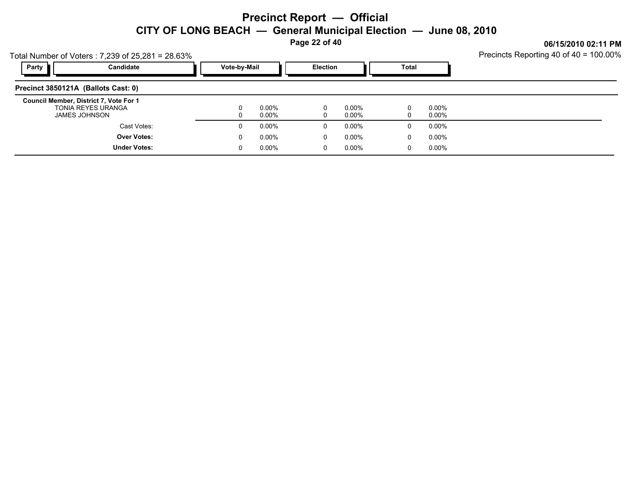**Page 22 of 40**

**06/15/2010 02:11 PM** 40 of 40 = 100.00%

|                                     | Total Number of Voters: 7,239 of 25,281 = 28.63%                              |              |                      |                 |                      |               |                      | <b>Precincts Reporting 4</b> |
|-------------------------------------|-------------------------------------------------------------------------------|--------------|----------------------|-----------------|----------------------|---------------|----------------------|------------------------------|
| Party                               | Candidate                                                                     | Vote-by-Mail |                      | <b>Election</b> |                      | Total         |                      |                              |
| Precinct 3850121A (Ballots Cast: 0) |                                                                               |              |                      |                 |                      |               |                      |                              |
|                                     | Council Member, District 7, Vote For 1<br>TONIA REYES URANGA<br>JAMES JOHNSON |              | $0.00\%$<br>$0.00\%$ |                 | $0.00\%$<br>$0.00\%$ | $\Omega$<br>0 | $0.00\%$<br>$0.00\%$ |                              |
|                                     | Cast Votes:                                                                   | 0            | $0.00\%$             | 0               | $0.00\%$             | 0             | $0.00\%$             |                              |
|                                     | <b>Over Votes:</b>                                                            | 0            | $0.00\%$             | 0               | $0.00\%$             | 0             | $0.00\%$             |                              |
|                                     | <b>Under Votes:</b>                                                           | 0            | $0.00\%$             | 0               | $0.00\%$             | 0             | $0.00\%$             |                              |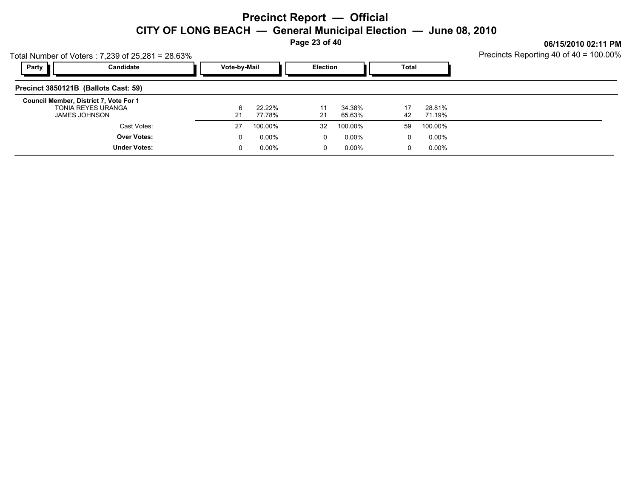**Page 23 of 40**

| Total Number of Voters: 7,239 of 25,281 = 28.63%             | Precincts Reporting 40 of 40 = 100.00% |          |          |          |       |         |  |
|--------------------------------------------------------------|----------------------------------------|----------|----------|----------|-------|---------|--|
| Party<br>Candidate                                           | Vote-by-Mail                           |          | Election |          | Total |         |  |
| Precinct 3850121B (Ballots Cast: 59)                         |                                        |          |          |          |       |         |  |
| Council Member, District 7, Vote For 1<br>TONIA REYES URANGA |                                        | 22.22%   |          | 34.38%   | 17    | 28.81%  |  |
| JAMES JOHNSON                                                | 21                                     | 77.78%   | 21       | 65.63%   | 42    | 71.19%  |  |
| Cast Votes:                                                  | 27                                     | 100.00%  | 32       | 100.00%  | 59    | 100.00% |  |
| <b>Over Votes:</b>                                           | 0                                      | $0.00\%$ | 0        | $0.00\%$ | 0     | 0.00%   |  |
| <b>Under Votes:</b>                                          | 0                                      | $0.00\%$ | 0        | 0.00%    | 0     | 0.00%   |  |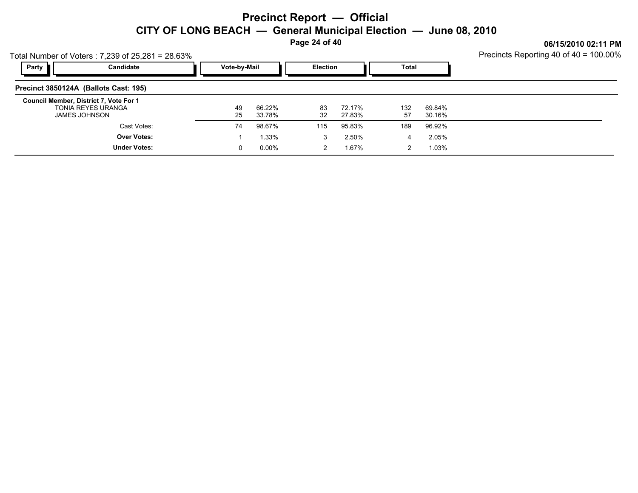**Page 24 of 40**

**06/15/2010 02:11 PM**

| Total Number of Voters: 7,239 of 25,281 = 28.63% |  |
|--------------------------------------------------|--|
|                                                  |  |

| Candidate<br>Party                                                            | Vote-by-Mail |                  | <b>Election</b> |                  | Total     |                  |  |
|-------------------------------------------------------------------------------|--------------|------------------|-----------------|------------------|-----------|------------------|--|
| Precinct 3850124A (Ballots Cast: 195)                                         |              |                  |                 |                  |           |                  |  |
| Council Member, District 7, Vote For 1<br>TONIA REYES URANGA<br>JAMES JOHNSON | 49<br>25     | 66.22%<br>33.78% | 83<br>32        | 72.17%<br>27.83% | 132<br>57 | 69.84%<br>30.16% |  |
| Cast Votes:                                                                   | 74           | 98.67%           | 115             | 95.83%           | 189       | 96.92%           |  |
| <b>Over Votes:</b>                                                            |              | $.33\%$          | 3               | 2.50%            | 4         | 2.05%            |  |
| <b>Under Votes:</b>                                                           | 0            | $0.00\%$         |                 | 1.67%            |           | 1.03%            |  |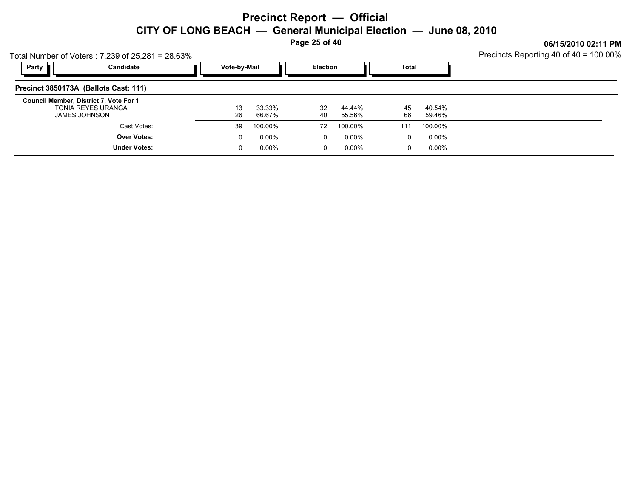**Page 25 of 40**

**06/15/2010 02:11 PM**

| Total Number of Voters: 7,239 of 25,281 = 28.63% |  |
|--------------------------------------------------|--|
|                                                  |  |

| Party                                 | Candidate                                                                     |  | Vote-by-Mail |                  | <b>Election</b> |                  | <b>Total</b> |                  |  |
|---------------------------------------|-------------------------------------------------------------------------------|--|--------------|------------------|-----------------|------------------|--------------|------------------|--|
| Precinct 3850173A (Ballots Cast: 111) |                                                                               |  |              |                  |                 |                  |              |                  |  |
|                                       | Council Member, District 7, Vote For 1<br>TONIA REYES URANGA<br>JAMES JOHNSON |  | 26           | 33.33%<br>66.67% | 32<br>40        | 44.44%<br>55.56% | 45<br>66     | 40.54%<br>59.46% |  |
|                                       | Cast Votes:                                                                   |  | 39           | 100.00%          | 72              | 100.00%          | 111          | 100.00%          |  |
|                                       | <b>Over Votes:</b>                                                            |  | 0            | 0.00%            | 0               | 0.00%            | 0            | 0.00%            |  |
|                                       | <b>Under Votes:</b>                                                           |  |              | 0.00%            | 0               | $0.00\%$         | 0            | $0.00\%$         |  |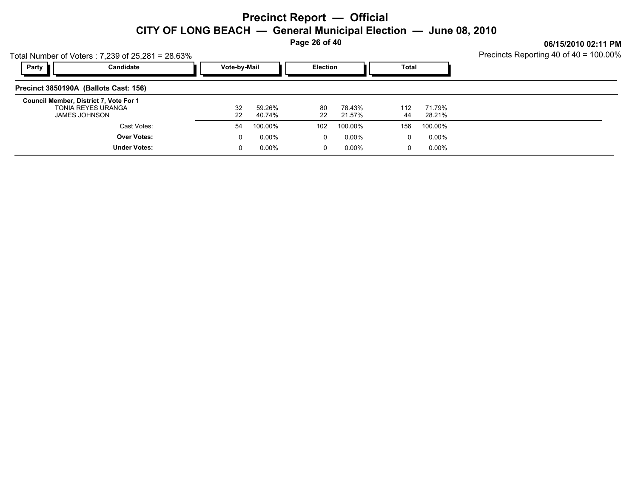**Page 26 of 40**

0 0.00%

 $0.00\%$  0.00% 0.00% 0.00% 0.00% 0.00% 0.00% 0.00% 0.00% 0.00% 0.00% 0.00% 0.00% 0.00% 0.00% 0.00% 0.00% 0.00% 0.00% 0.00% 0.00% 0.00% 0.00% 0.00% 0.00% 0.00% 0.00% 0.00% 0.00% 0.00% 0.00% 0.00% 0.00% 0.00% 0.00% 0.00% 0.

0 0.00%

**06/15/2010 02:11 PM**

|                                        | Total Number of Voters: 7,239 of 25,281 = 28.63% | Precincts Reporting 40 of 40 = 100.00% |                  |                 |                  |           |                  |  |
|----------------------------------------|--------------------------------------------------|----------------------------------------|------------------|-----------------|------------------|-----------|------------------|--|
| Party                                  | Candidate                                        | Vote-by-Mail                           |                  | <b>Election</b> |                  | Total     |                  |  |
| Precinct 3850190A (Ballots Cast: 156)  |                                                  |                                        |                  |                 |                  |           |                  |  |
| Council Member, District 7, Vote For 1 | TONIA REYES URANGA<br>JAMES JOHNSON              | 32<br>22                               | 59.26%<br>40.74% | 80<br>22        | 78.43%<br>21.57% | 112<br>44 | 71.79%<br>28.21% |  |
|                                        | Cast Votes:                                      | -54                                    | 100.00%          | 102             | 100.00%          | 156       | 100.00%          |  |
|                                        | <b>Over Votes:</b>                               | 0                                      | $0.00\%$         |                 | $0.00\%$         |           | $0.00\%$         |  |

0 0.00%

**Under Votes:**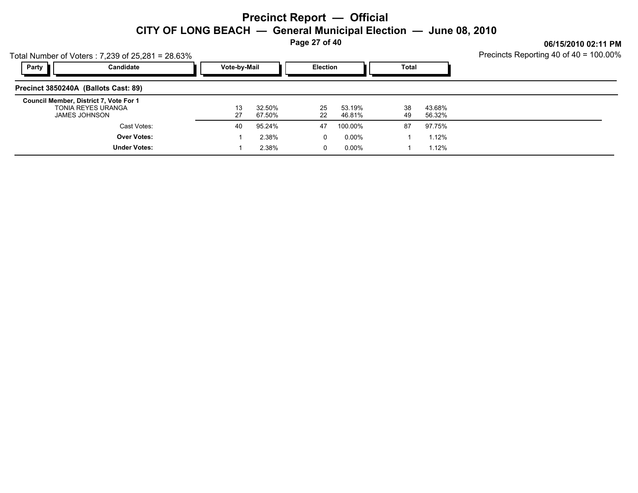**Page 27 of 40**

**06/15/2010 02:11 PM**

| Total Number of Voters: 7,239 of 25,281 = 28.63% |  |
|--------------------------------------------------|--|
|                                                  |  |

| Party<br>Candidate                                                            | Vote-by-Mail |                  | <b>Election</b> |                  | Total    |                  |  |
|-------------------------------------------------------------------------------|--------------|------------------|-----------------|------------------|----------|------------------|--|
| Precinct 3850240A (Ballots Cast: 89)                                          |              |                  |                 |                  |          |                  |  |
| Council Member, District 7, Vote For 1<br>TONIA REYES URANGA<br>JAMES JOHNSON | 13<br>27     | 32.50%<br>67.50% | 25<br>22        | 53.19%<br>46.81% | 38<br>49 | 43.68%<br>56.32% |  |
| Cast Votes:                                                                   | 40           | 95.24%           | 47              | 100.00%          | 87       | 97.75%           |  |
| <b>Over Votes:</b>                                                            |              | 2.38%            | 0               | 0.00%            |          | 1.12%            |  |
| <b>Under Votes:</b>                                                           |              | 2.38%            | 0               | 0.00%            |          | 1.12%            |  |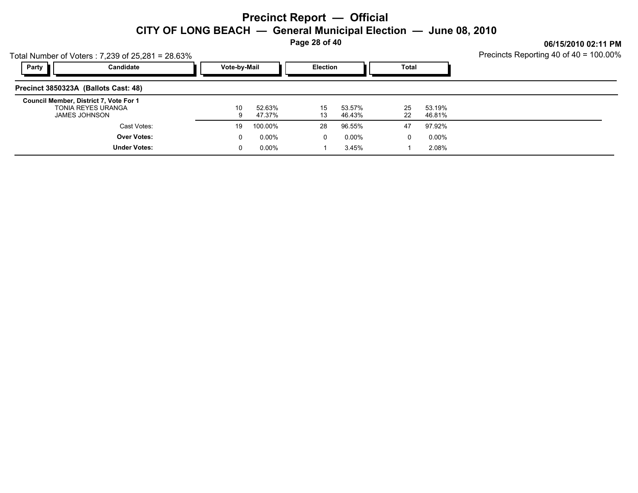**Page 28 of 40**

**06/15/2010 02:11 PM**

| Total Number of Voters: 7,239 of 25,281 = 28.63% |  |
|--------------------------------------------------|--|
|                                                  |  |

| Party<br>Candidate                                                            | Vote-by-Mail |                  | <b>Election</b> |                  | <b>Total</b> |                  |  |
|-------------------------------------------------------------------------------|--------------|------------------|-----------------|------------------|--------------|------------------|--|
| Precinct 3850323A (Ballots Cast: 48)                                          |              |                  |                 |                  |              |                  |  |
| Council Member, District 7, Vote For 1<br>TONIA REYES URANGA<br>JAMES JOHNSON | 10           | 52.63%<br>47.37% | 15<br>13        | 53.57%<br>46.43% | 25<br>22     | 53.19%<br>46.81% |  |
| Cast Votes:                                                                   | 19           | 100.00%          | 28              | 96.55%           | 47           | 97.92%           |  |
| <b>Over Votes:</b>                                                            | 0            | $0.00\%$         | 0               | 0.00%            | 0            | $0.00\%$         |  |
| <b>Under Votes:</b>                                                           |              | $0.00\%$         |                 | 3.45%            |              | 2.08%            |  |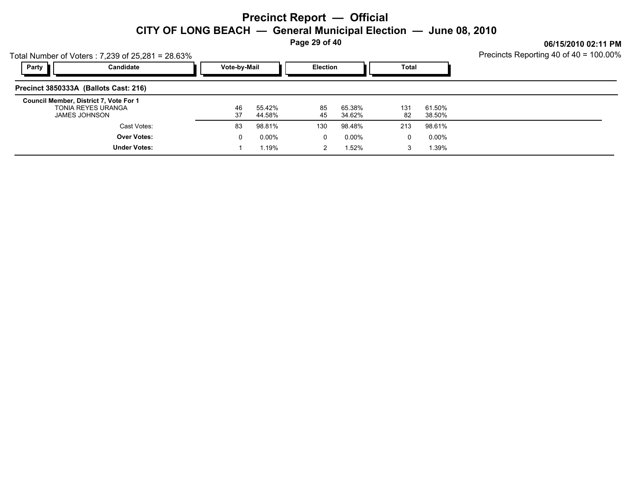**Page 29 of 40**

|       | Total Number of Voters: 7,239 of 25,281 = 28.63%                              |              | Precincts Reporting 40 of 40 = 100.00% |          |                  |           |                   |  |
|-------|-------------------------------------------------------------------------------|--------------|----------------------------------------|----------|------------------|-----------|-------------------|--|
| Party | Candidate                                                                     | Vote-by-Mail |                                        |          | <b>Election</b>  |           | Total             |  |
|       | Precinct 3850333A (Ballots Cast: 216)                                         |              |                                        |          |                  |           |                   |  |
|       | Council Member, District 7, Vote For 1<br>TONIA REYES URANGA<br>JAMES JOHNSON | 46<br>37     | 55.42%<br>44.58%                       | 85<br>45 | 65.38%<br>34.62% | 131<br>82 | 61.50%<br>38.50%  |  |
|       | Cast Votes:                                                                   | 83           | 98.81%                                 | 130      | 98.48%           | 213       | 98.61%            |  |
|       | <b>Over Votes:</b><br><b>Under Votes:</b>                                     |              | $0.00\%$<br>l.19%                      | 0<br>2   | 0.00%<br>1.52%   | 0<br>3    | $0.00\%$<br>1.39% |  |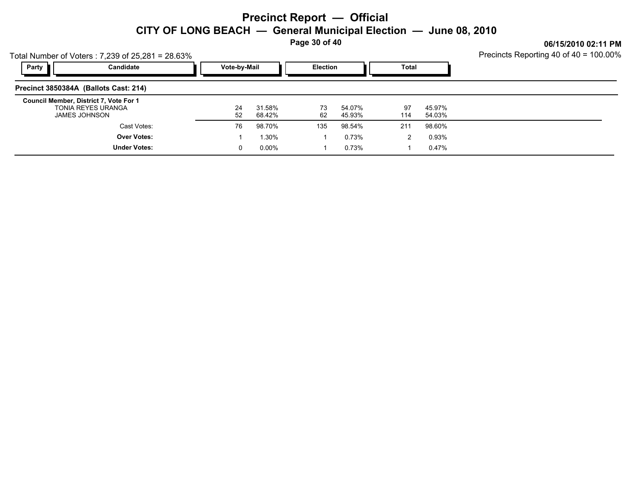**Page 30 of 40**

**06/15/2010 02:11 PM**

Total Number of Voters : 7,239 of 25,281 = 28.63%

| Party<br>Candidate                                                            | Vote-by-Mail |                  | <b>Election</b> |                  | Total     |                  |  |
|-------------------------------------------------------------------------------|--------------|------------------|-----------------|------------------|-----------|------------------|--|
| Precinct 3850384A (Ballots Cast: 214)                                         |              |                  |                 |                  |           |                  |  |
| Council Member, District 7, Vote For 1<br>TONIA REYES URANGA<br>JAMES JOHNSON | 24<br>52     | 31.58%<br>68.42% | 73<br>62        | 54.07%<br>45.93% | 97<br>114 | 45.97%<br>54.03% |  |
| Cast Votes:                                                                   | 76           | 98.70%           | 135             | 98.54%           | 211       | 98.60%           |  |
| <b>Over Votes:</b>                                                            |              | 30%،             |                 | 0.73%            | 2         | 0.93%            |  |
| <b>Under Votes:</b>                                                           | 0            | 0.00%            |                 | 0.73%            |           | 0.47%            |  |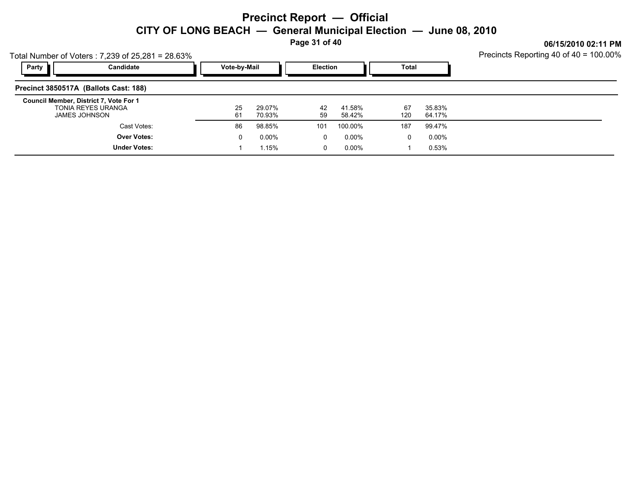**Page 31 of 40**

0 0.00%

 $1.15\%$  0 0.00% 1 0.53%

1 0.53%

**06/15/2010 02:11 PM**

| Total Number of Voters: 7,239 of 25,281 = 28.63%                              | Precincts Reporting 40 of 40 = 100.00% |                  |                 |                  |              |                  |  |
|-------------------------------------------------------------------------------|----------------------------------------|------------------|-----------------|------------------|--------------|------------------|--|
| Party<br>Candidate                                                            | Vote-by-Mail                           |                  | <b>Election</b> |                  | <b>Total</b> |                  |  |
| Precinct 3850517A (Ballots Cast: 188)                                         |                                        |                  |                 |                  |              |                  |  |
| Council Member, District 7, Vote For 1<br>TONIA REYES URANGA<br>JAMES JOHNSON | 25<br>61                               | 29.07%<br>70.93% | 42<br>59        | 41.58%<br>58.42% | 67<br>120    | 35.83%<br>64.17% |  |
| Cast Votes:                                                                   | 86                                     | 98.85%           | 101             | 100.00%          | 187          | 99.47%           |  |
| <b>Over Votes:</b>                                                            | 0                                      | $0.00\%$         |                 | $0.00\%$         |              | $0.00\%$         |  |

1 1.15%

**Under Votes:**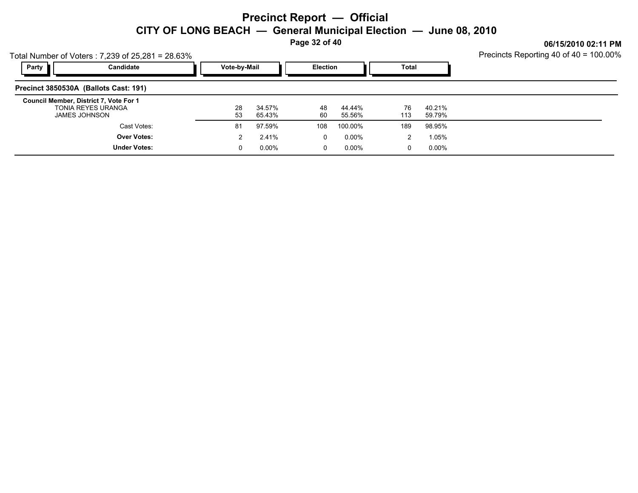**Page 32 of 40**

| Total Number of Voters: 7,239 of 25,281 = 28.63%                              |              | Precincts Reporting 40 of 40 = 100.00% |          |                  |           |                  |  |
|-------------------------------------------------------------------------------|--------------|----------------------------------------|----------|------------------|-----------|------------------|--|
| Party<br>Candidate                                                            | Vote-by-Mail |                                        |          | Election         |           |                  |  |
| Precinct 3850530A (Ballots Cast: 191)                                         |              |                                        |          |                  |           |                  |  |
| Council Member, District 7, Vote For 1<br>TONIA REYES URANGA<br>JAMES JOHNSON | 28<br>53     | 34.57%<br>65.43%                       | 48<br>60 | 44.44%<br>55.56% | 76<br>113 | 40.21%<br>59.79% |  |
| Cast Votes:                                                                   | 81           | 97.59%                                 | 108      | 100.00%          | 189       | 98.95%           |  |
| <b>Over Votes:</b>                                                            |              | 2.41%                                  | 0        | 0.00%            | 2         | 1.05%            |  |
| <b>Under Votes:</b>                                                           | 0            | $0.00\%$                               | 0        | 0.00%            | 0         | 0.00%            |  |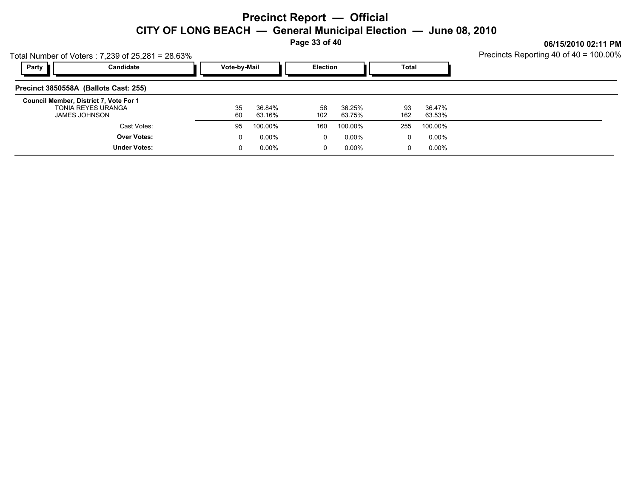**Page 33 of 40**

**06/15/2010 02:11 PM**

| Total Number of Voters: 7,239 of 25,281 = 28.63% |  |
|--------------------------------------------------|--|
|                                                  |  |

| Party<br>Candidate                                                            |                     | Vote-by-Mail |                  | <b>Election</b> |                  | Total     |                  |  |
|-------------------------------------------------------------------------------|---------------------|--------------|------------------|-----------------|------------------|-----------|------------------|--|
| Precinct 3850558A (Ballots Cast: 255)                                         |                     |              |                  |                 |                  |           |                  |  |
| Council Member, District 7, Vote For 1<br>TONIA REYES URANGA<br>JAMES JOHNSON |                     | 35<br>60     | 36.84%<br>63.16% | 58<br>102       | 36.25%<br>63.75% | 93<br>162 | 36.47%<br>63.53% |  |
|                                                                               | Cast Votes:         | 95           | 100.00%          | 160             | 100.00%          | 255       | 100.00%          |  |
|                                                                               | <b>Over Votes:</b>  | 0            | 0.00%            | υ               | $0.00\%$         | 0         | $0.00\%$         |  |
|                                                                               | <b>Under Votes:</b> | 0            | $0.00\%$         | υ               | $0.00\%$         | 0         | $0.00\%$         |  |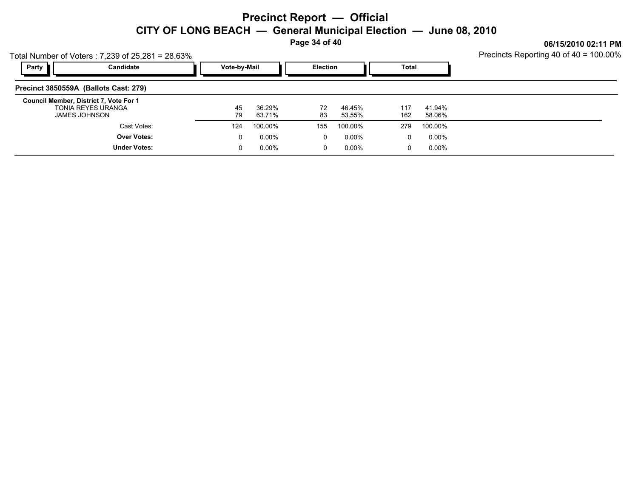**Page 34 of 40**

**06/15/2010 02:11 PM**

| Total Number of Voters: 7,239 of 25,281 = 28.63% |  |
|--------------------------------------------------|--|
|                                                  |  |

| Party<br>Candidate                                                            | Vote-by-Mail |                  | Election |                  | Total      |                  |  |
|-------------------------------------------------------------------------------|--------------|------------------|----------|------------------|------------|------------------|--|
| Precinct 3850559A (Ballots Cast: 279)                                         |              |                  |          |                  |            |                  |  |
| Council Member, District 7, Vote For 1<br>TONIA REYES URANGA<br>JAMES JOHNSON | 45<br>79     | 36.29%<br>63.71% | 72<br>83 | 46.45%<br>53.55% | 117<br>162 | 41.94%<br>58.06% |  |
| Cast Votes:                                                                   | 124          | 100.00%          | 155      | 100.00%          | 279        | 100.00%          |  |
| <b>Over Votes:</b>                                                            |              | $0.00\%$         | 0        | 0.00%            | $\Omega$   | $0.00\%$         |  |
| <b>Under Votes:</b>                                                           |              | $0.00\%$         | 0        | 0.00%            | 0          | $0.00\%$         |  |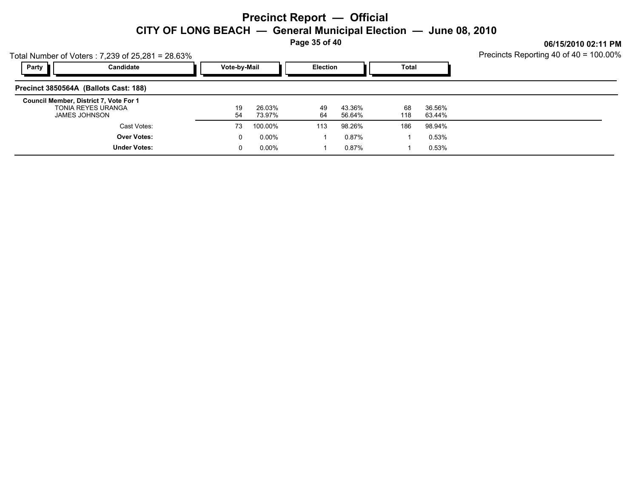**Page 35 of 40**

**06/15/2010 02:11 PM**

Total Number of Voters : 7,239 of 25,281 = 28.63%

| Party<br>Candidate                                                            | Vote-by-Mail |                  | <b>Election</b> |                  | Total     |                  |  |
|-------------------------------------------------------------------------------|--------------|------------------|-----------------|------------------|-----------|------------------|--|
| Precinct 3850564A (Ballots Cast: 188)                                         |              |                  |                 |                  |           |                  |  |
| Council Member, District 7, Vote For 1<br>TONIA REYES URANGA<br>JAMES JOHNSON | 19<br>54     | 26.03%<br>73.97% | 49<br>64        | 43.36%<br>56.64% | 68<br>118 | 36.56%<br>63.44% |  |
| Cast Votes:                                                                   | 73           | 100.00%          | 113             | 98.26%           | 186       | 98.94%           |  |
| <b>Over Votes:</b>                                                            |              | $0.00\%$         |                 | $0.87\%$         |           | 0.53%            |  |
| <b>Under Votes:</b>                                                           |              | $0.00\%$         |                 | 0.87%            |           | 0.53%            |  |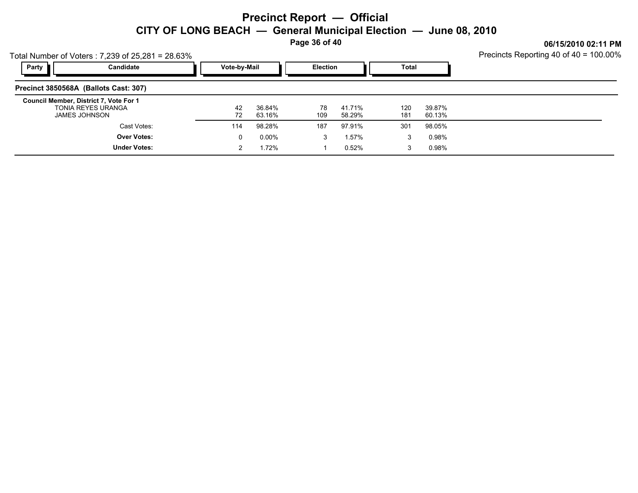**Page 36 of 40**

**06/15/2010 02:11 PM**

| Total Number of Voters: 7,239 of 25,281 = 28.63% |  |
|--------------------------------------------------|--|
|                                                  |  |

| Party<br>Candidate                                                                   | Vote-by-Mail |                  | <b>Election</b> |                  | <b>Total</b> |                  |  |
|--------------------------------------------------------------------------------------|--------------|------------------|-----------------|------------------|--------------|------------------|--|
| Precinct 3850568A (Ballots Cast: 307)                                                |              |                  |                 |                  |              |                  |  |
| Council Member, District 7, Vote For 1<br>TONIA REYES URANGA<br><b>JAMES JOHNSON</b> | 42<br>72     | 36.84%<br>63.16% | 78<br>109       | 41.71%<br>58.29% | 120<br>181   | 39.87%<br>60.13% |  |
| Cast Votes:                                                                          | 114          | 98.28%           | 187             | 97.91%           | 301          | 98.05%           |  |
| <b>Over Votes:</b>                                                                   |              | $0.00\%$         | 3               | 1.57%            | 3            | 0.98%            |  |
| <b>Under Votes:</b>                                                                  |              | .72%             |                 | 0.52%            | 3            | 0.98%            |  |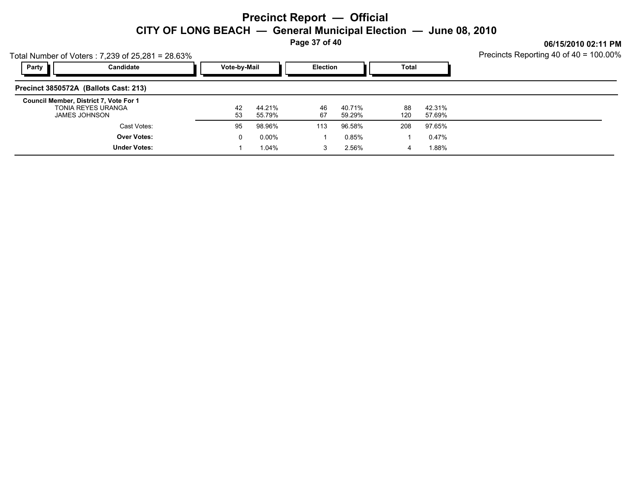**Page 37 of 40**

**06/15/2010 02:11 PM**

| Total Number of Voters: 7,239 of 25,281 = 28.63% |  |
|--------------------------------------------------|--|
|                                                  |  |

| Candidate<br>Party                                                                   | Vote-by-Mail |                  | <b>Election</b> |                  | Total     |                  |  |
|--------------------------------------------------------------------------------------|--------------|------------------|-----------------|------------------|-----------|------------------|--|
| Precinct 3850572A (Ballots Cast: 213)                                                |              |                  |                 |                  |           |                  |  |
| Council Member, District 7, Vote For 1<br>TONIA REYES URANGA<br><b>JAMES JOHNSON</b> | 42<br>53     | 44.21%<br>55.79% | 46<br>67        | 40.71%<br>59.29% | 88<br>120 | 42.31%<br>57.69% |  |
| Cast Votes:                                                                          | 95           | 98.96%           | 113             | 96.58%           | 208       | 97.65%           |  |
| <b>Over Votes:</b>                                                                   | 0            | $0.00\%$         |                 | 0.85%            |           | 0.47%            |  |
| <b>Under Votes:</b>                                                                  |              | 1.04%            | 3               | 2.56%            | 4         | 1.88%            |  |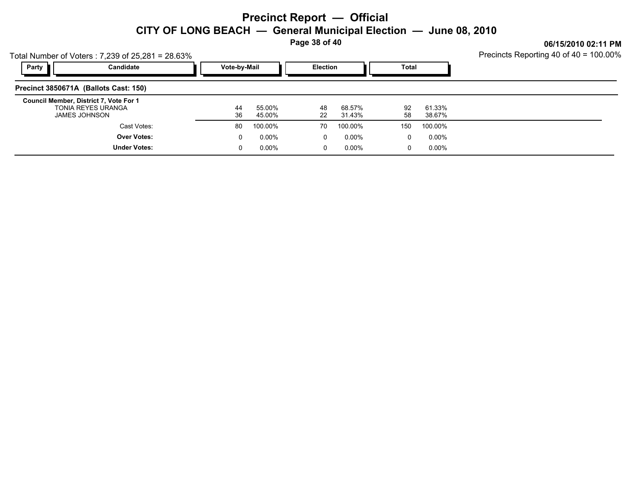**Page 38 of 40**

| Total Number of Voters: 7,239 of 25,281 = 28.63%                              | Precincts Reporting 40 of 40 = 100.00%          |                  |          |                  |             |                  |  |
|-------------------------------------------------------------------------------|-------------------------------------------------|------------------|----------|------------------|-------------|------------------|--|
| Candidate<br>Party                                                            | Vote-by-Mail<br><b>Total</b><br><b>Election</b> |                  |          |                  |             |                  |  |
| Precinct 3850671A (Ballots Cast: 150)                                         |                                                 |                  |          |                  |             |                  |  |
| Council Member, District 7, Vote For 1<br>TONIA REYES URANGA<br>JAMES JOHNSON | 44<br>36                                        | 55.00%<br>45.00% | 48<br>22 | 68.57%<br>31.43% | 92<br>58    | 61.33%<br>38.67% |  |
| Cast Votes:                                                                   | 80                                              | 100.00%          | 70       | 100.00%          | 150         | 100.00%          |  |
| <b>Over Votes:</b>                                                            | 0                                               | $0.00\%$         | 0        | 0.00%            | $\mathbf 0$ | 0.00%            |  |
| <b>Under Votes:</b>                                                           | 0                                               | $0.00\%$         | 0        | 0.00%            | 0           | 0.00%            |  |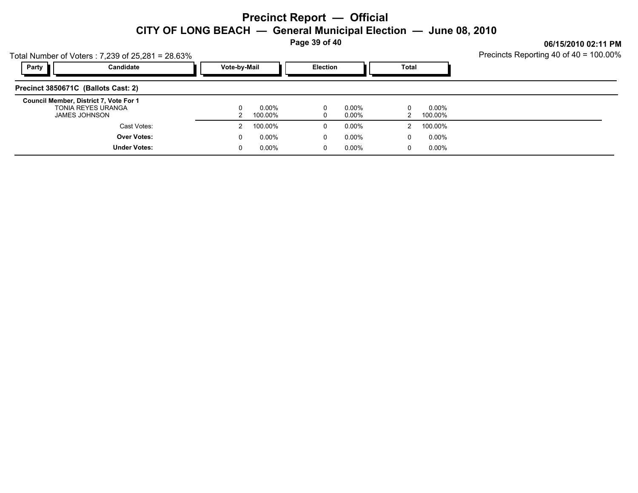**Page 39 of 40**

| Total Number of Voters: 7,239 of 25,281 = 28.63%                              |              |                  |          | UUI IJILU IU UL. II FIII<br>Precincts Reporting 40 of 40 = 100.00% |       |                     |  |
|-------------------------------------------------------------------------------|--------------|------------------|----------|--------------------------------------------------------------------|-------|---------------------|--|
| Party<br>Candidate                                                            | Vote-by-Mail |                  | Election |                                                                    | Total |                     |  |
| Precinct 3850671C (Ballots Cast: 2)                                           |              |                  |          |                                                                    |       |                     |  |
| Council Member, District 7, Vote For 1<br>TONIA REYES URANGA<br>JAMES JOHNSON |              | 0.00%<br>100.00% | 0<br>0   | 0.00%<br>0.00%                                                     |       | 0.00%<br>100.00%    |  |
| Cast Votes:<br><b>Over Votes:</b>                                             | 0            | 100.00%<br>0.00% | 0<br>0   | 0.00%<br>0.00%                                                     | 0     | 100.00%<br>$0.00\%$ |  |
| <b>Under Votes:</b>                                                           | 0            | 0.00%            | 0        | 0.00%                                                              | 0     | $0.00\%$            |  |